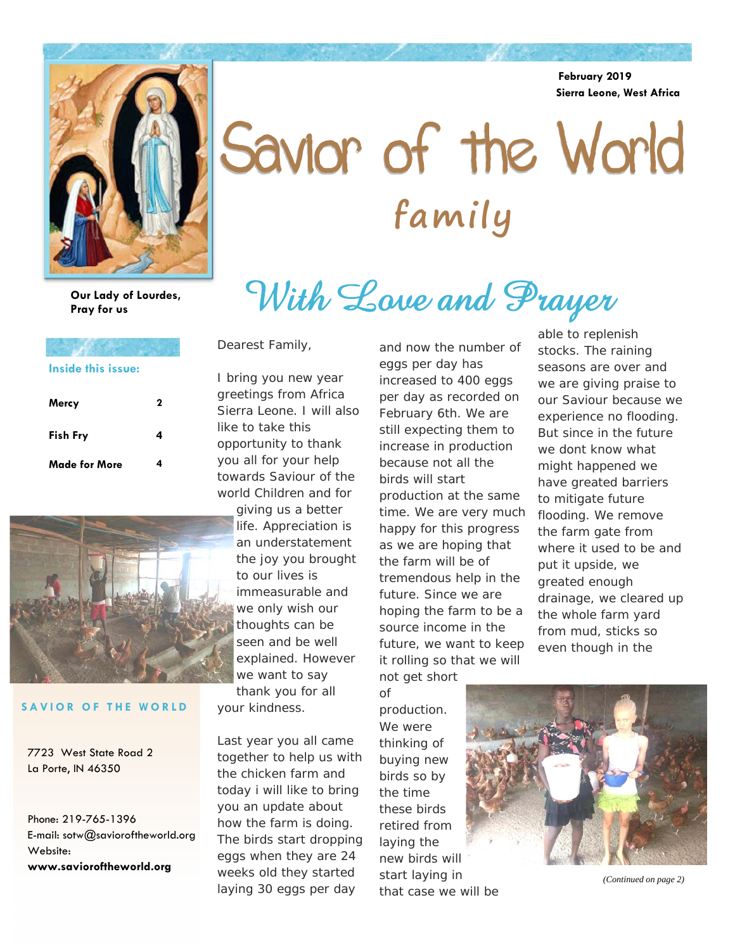**February 2019 Sierra Leone, West Africa** 



# Savior of the World **family**

With Love and Prayer

**Our Lady of Lourdes, Pray for us** 

### **Mercy 2 Made for More Fish Fry Inside this issue:**



#### **SAVIOR OF THE WORLD**

7723 West State Road 2 La Porte, IN 46350

Phone: 219-765-1396 E-mail: sotw@savioroftheworld.org Website: **www.savioroftheworld.org** 

Dearest Family,

I bring you new year greetings from Africa Sierra Leone. I will also like to take this opportunity to thank you all for your help towards Saviour of the world Children and for

giving us a better life. Appreciation is an understatement the joy you brought to our lives is immeasurable and we only wish our thoughts can be seen and be well explained. However we want to say thank you for all your kindness.

Last year you all came together to help us with the chicken farm and today i will like to bring you an update about how the farm is doing. The birds start dropping eggs when they are 24 weeks old they started laying 30 eggs per day

and now the number of eggs per day has increased to 400 eggs per day as recorded on February 6th. We are still expecting them to increase in production because not all the birds will start production at the same time. We are very much happy for this progress as we are hoping that the farm will be of tremendous help in the future. Since we are hoping the farm to be a source income in the future, we want to keep it rolling so that we will

not get short of production. We were thinking of buying new birds so by the time these birds retired from laying the new birds will start laying in that case we will be

able to replenish stocks. The raining seasons are over and we are giving praise to our Saviour because we experience no flooding. But since in the future we dont know what might happened we have greated barriers to mitigate future flooding. We remove the farm gate from where it used to be and put it upside, we greated enough drainage, we cleared up the whole farm yard from mud, sticks so even though in the



*(Continued on page 2)*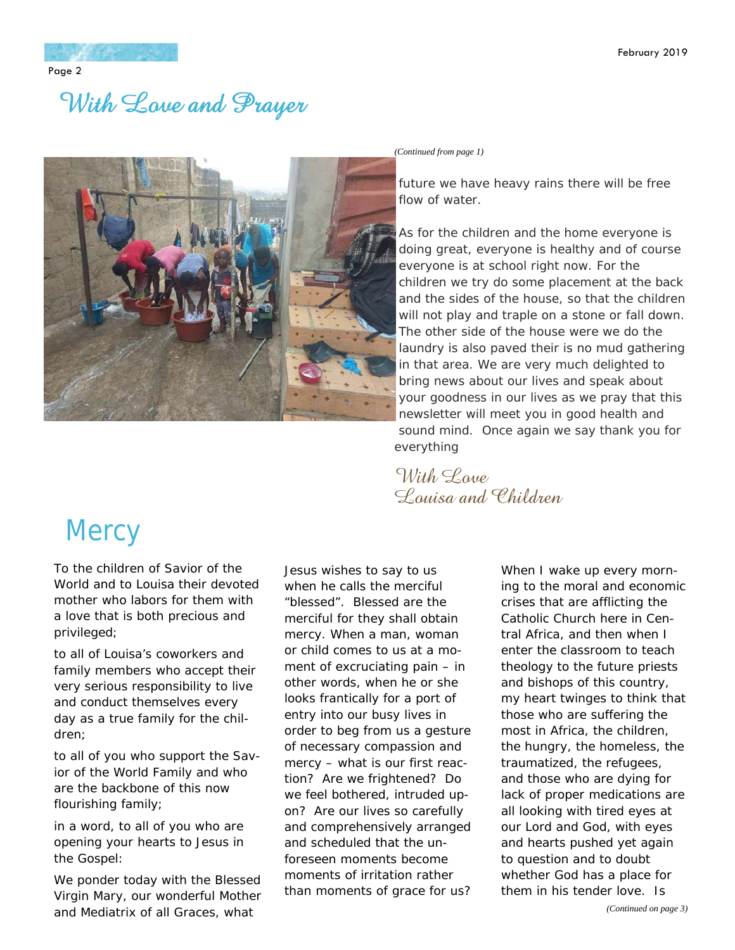### With Love and Prayer



*(Continued from page 1)* 

future we have heavy rains there will be free flow of water.

As for the children and the home everyone is doing great, everyone is healthy and of course everyone is at school right now. For the children we try do some placement at the back and the sides of the house, so that the children will not play and traple on a stone or fall down. The other side of the house were we do the laundry is also paved their is no mud gathering in that area. We are very much delighted to bring news about our lives and speak about your goodness in our lives as we pray that this newsletter will meet you in good health and sound mind. Once again we say thank you for everything

With Loue Louisa and Children

## **Mercy**

*To the children of Savior of the World and to Louisa their devoted mother who labors for them with a love that is both precious and privileged;* 

*to all of Louisa's coworkers and family members who accept their very serious responsibility to live and conduct themselves every day as a true family for the children;* 

*to all of you who support the Savior of the World Family and who are the backbone of this now flourishing family;* 

*in a word, to all of you who are opening your hearts to Jesus in the Gospel:* 

We ponder today with the Blessed Virgin Mary, our wonderful Mother and Mediatrix of all Graces, what

Jesus wishes to say to us when he calls the merciful "blessed". Blessed are the merciful for they shall obtain mercy. When a man, woman or child comes to us at a moment of excruciating pain – in other words, when he or she looks frantically for a port of entry into our busy lives in order to beg from us a gesture of necessary compassion and mercy – what is our first reaction? Are we frightened? Do we feel bothered, intruded upon? Are our lives so carefully and comprehensively arranged and scheduled that the unforeseen moments become moments of irritation rather than moments of grace for us?

When I wake up every morning to the moral and economic crises that are afflicting the Catholic Church here in Central Africa, and then when I enter the classroom to teach theology to the future priests and bishops of this country, my heart twinges to think that those who are suffering the most in Africa, the children, the hungry, the homeless, the traumatized, the refugees, and those who are dying for lack of proper medications are all looking with tired eyes at our Lord and God, with eyes and hearts pushed yet again to question and to doubt whether God has a place for them in his tender love. Is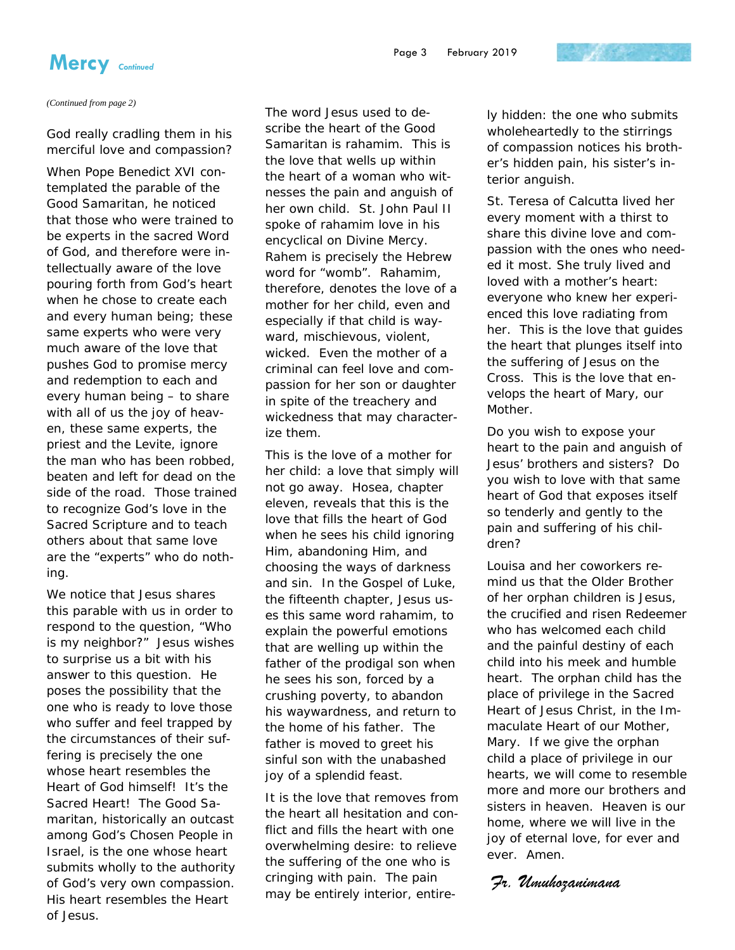

*(Continued from page 2)* 

God really cradling them in his merciful love and compassion?

When Pope Benedict XVI contemplated the parable of the Good Samaritan, he noticed that those who were trained to be experts in the sacred Word of God, and therefore were intellectually aware of the love pouring forth from God's heart when he chose to create each and every human being; these same experts who were very much aware of the love that pushes God to promise mercy and redemption to each and every human being – to share with all of us the joy of heaven, these same experts, the priest and the Levite, ignore the man who has been robbed, beaten and left for dead on the side of the road. Those trained to recognize God's love in the Sacred Scripture and to teach others about that same love are the "experts" who do nothing.

We notice that Jesus shares this parable with us in order to respond to the question, "Who is my neighbor?" Jesus wishes to surprise us a bit with his answer to this question. He poses the possibility that the one who is ready to love those who suffer and feel trapped by the circumstances of their suffering is precisely the one whose heart resembles the Heart of God himself! It's the Sacred Heart! The Good Samaritan, historically an outcast among God's Chosen People in Israel, is the one whose heart submits wholly to the authority of God's very own compassion. His heart resembles the Heart of Jesus.

The word Jesus used to describe the heart of the Good Samaritan is rahamim. This is the love that wells up within the heart of a woman who witnesses the pain and anguish of her own child. St. John Paul II spoke of rahamim love in his encyclical on Divine Mercy. Rahem is precisely the Hebrew word for "womb". Rahamim, therefore, denotes the love of a mother for her child, even and especially if that child is wayward, mischievous, violent, wicked. Even the mother of a criminal can feel love and compassion for her son or daughter in spite of the treachery and wickedness that may characterize them.

This is the love of a mother for her child: a love that simply will not go away. Hosea, chapter eleven, reveals that this is the love that fills the heart of God when he sees his child ignoring Him, abandoning Him, and choosing the ways of darkness and sin. In the Gospel of Luke, the fifteenth chapter, Jesus uses this same word rahamim, to explain the powerful emotions that are welling up within the father of the prodigal son when he sees his son, forced by a crushing poverty, to abandon his waywardness, and return to the home of his father. The father is moved to greet his sinful son with the unabashed joy of a splendid feast.

It is the love that removes from the heart all hesitation and conflict and fills the heart with one overwhelming desire: to relieve the suffering of the one who is cringing with pain. The pain may be entirely interior, entirely hidden: the one who submits wholeheartedly to the stirrings of compassion notices his brother's hidden pain, his sister's interior anguish.

St. Teresa of Calcutta lived her every moment with a thirst to share this divine love and compassion with the ones who needed it most. She truly lived and loved with a mother's heart: everyone who knew her experienced this love radiating from her. This is the love that guides the heart that plunges itself into the suffering of Jesus on the Cross. This is the love that envelops the heart of Mary, our Mother.

Do you wish to expose your heart to the pain and anguish of Jesus' brothers and sisters? Do you wish to love with that same heart of God that exposes itself so tenderly and gently to the pain and suffering of his children?

Louisa and her coworkers remind us that the Older Brother of her orphan children is Jesus, the crucified and risen Redeemer who has welcomed each child and the painful destiny of each child into his meek and humble heart. The orphan child has the place of privilege in the Sacred Heart of Jesus Christ, in the Immaculate Heart of our Mother, Mary. If we give the orphan child a place of privilege in our hearts, we will come to resemble more and more our brothers and sisters in heaven. Heaven is our home, where we will live in the joy of eternal love, for ever and ever. Amen.

*Fr. Umuhozanimana*